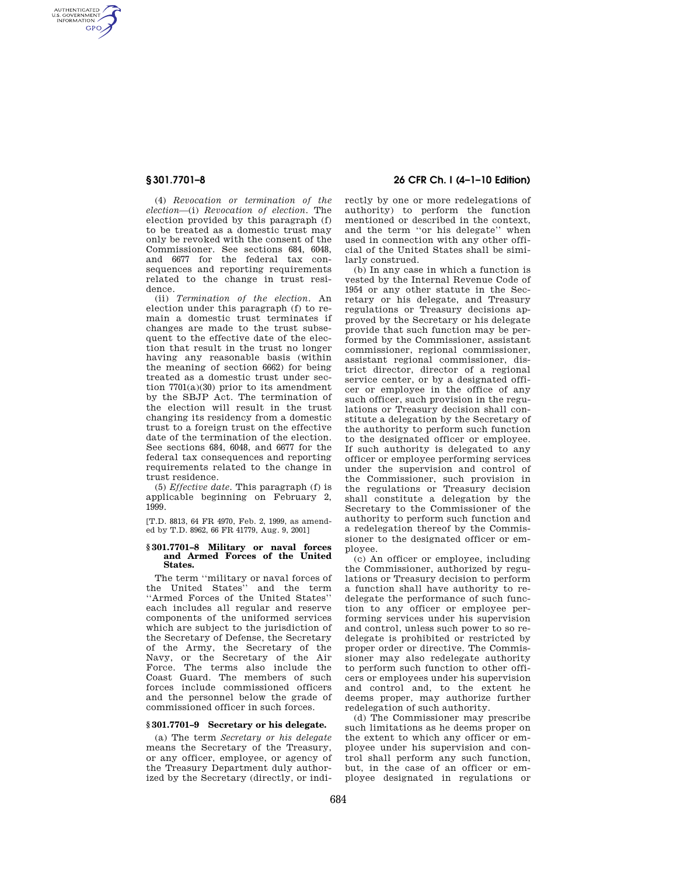AUTHENTICATED<br>U.S. GOVERNMENT<br>INFORMATION **GPO** 

> (4) *Revocation or termination of the election*—(i) *Revocation of election.* The election provided by this paragraph (f) to be treated as a domestic trust may only be revoked with the consent of the Commissioner. See sections 684, 6048, and 6677 for the federal tax consequences and reporting requirements related to the change in trust residence.

> (ii) *Termination of the election.* An election under this paragraph (f) to remain a domestic trust terminates if changes are made to the trust subsequent to the effective date of the election that result in the trust no longer having any reasonable basis (within the meaning of section 6662) for being treated as a domestic trust under section  $7701(a)(30)$  prior to its amendment by the SBJP Act. The termination of the election will result in the trust changing its residency from a domestic trust to a foreign trust on the effective date of the termination of the election. See sections 684, 6048, and 6677 for the federal tax consequences and reporting requirements related to the change in trust residence.

(5) *Effective date.* This paragraph (f) is applicable beginning on February 2, 1999.

[T.D. 8813, 64 FR 4970, Feb. 2, 1999, as amended by T.D. 8962, 66 FR 41779, Aug. 9, 2001]

## **§ 301.7701–8 Military or naval forces and Armed Forces of the United States.**

The term ''military or naval forces of the United States'' and the term ''Armed Forces of the United States'' each includes all regular and reserve components of the uniformed services which are subject to the jurisdiction of the Secretary of Defense, the Secretary of the Army, the Secretary of the Navy, or the Secretary of the Air Force. The terms also include the Coast Guard. The members of such forces include commissioned officers and the personnel below the grade of commissioned officer in such forces.

## **§ 301.7701–9 Secretary or his delegate.**

(a) The term *Secretary or his delegate*  means the Secretary of the Treasury, or any officer, employee, or agency of the Treasury Department duly authorized by the Secretary (directly, or indi-

# **§ 301.7701–8 26 CFR Ch. I (4–1–10 Edition)**

rectly by one or more redelegations of authority) to perform the function mentioned or described in the context, and the term ''or his delegate'' when used in connection with any other official of the United States shall be similarly construed.

(b) In any case in which a function is vested by the Internal Revenue Code of 1954 or any other statute in the Secretary or his delegate, and Treasury regulations or Treasury decisions approved by the Secretary or his delegate provide that such function may be performed by the Commissioner, assistant commissioner, regional commissioner, assistant regional commissioner, district director, director of a regional service center, or by a designated officer or employee in the office of any such officer, such provision in the regulations or Treasury decision shall constitute a delegation by the Secretary of the authority to perform such function to the designated officer or employee. If such authority is delegated to any officer or employee performing services under the supervision and control of the Commissioner, such provision in the regulations or Treasury decision shall constitute a delegation by the Secretary to the Commissioner of the authority to perform such function and a redelegation thereof by the Commissioner to the designated officer or employee.

(c) An officer or employee, including the Commissioner, authorized by regulations or Treasury decision to perform a function shall have authority to redelegate the performance of such function to any officer or employee performing services under his supervision and control, unless such power to so redelegate is prohibited or restricted by proper order or directive. The Commissioner may also redelegate authority to perform such function to other officers or employees under his supervision and control and, to the extent he deems proper, may authorize further redelegation of such authority.

(d) The Commissioner may prescribe such limitations as he deems proper on the extent to which any officer or employee under his supervision and control shall perform any such function, but, in the case of an officer or employee designated in regulations or